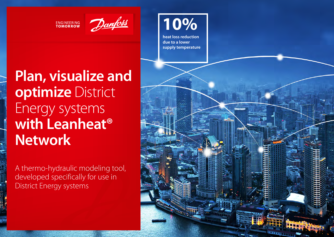**ENGINEERING**<br>TOMORROW



# **Plan, visualize and optimize** District Energy systems **with Leanheat® Network**

A thermo-hydraulic modeling tool, developed specifically for use in District Energy systems

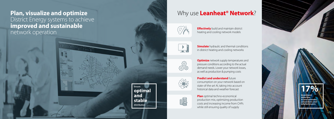### **Plan, visualize and optimize**  District Energy systems to achieve **improved and sustainable** network operation





### Why use **Leanheat® Network** ?



**Effectively** build and maintain district heating and cooling network models



**Simulate** hydraulic and thermal conditions in district heating and cooling networks



É

**Optimize** network supply temperatures and pressure conditions according to the actual demand needs. Lower your network losses, as well as production & pumping costs



**Predict and understand future** consumption on your network based on state-of-the-art AI, taking into account historical data and weather forecast

**Plan** optimal techno-economical production mix, optimizing production costs and increasing income from CHPs while still ensuring quality of supply

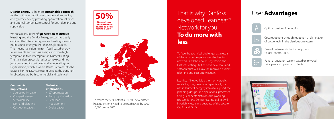#### **District Energy** is the most **sustainable approach** for the mitigation of climate change and improving energy efficiency by providing optimization solutions and optimal temperature control for both demand and supply side.

We are already in the **4<sup>th</sup> generation of District Heating** and the District Energy sector has clearly outlined the future. Today, we are heading towards multi-source energy rather than single sources. This means transitioning from fossil-based energy to renewable and surplus energy and from high temperature to low temperature District Heating. The transition process is rather complex, and not just connected to, but profoundly depending on Digitalization, which is where Danfoss comes into the picture. For the District Heating utilities, the transition implications are both commercial and technical:

#### **Commercial implications**

- Source optimization
- Competitiveness
- Sustainability
- Demand planning
- Cost optimization

#### **Technical implications**

- ΔT optimization
- Pump optimization
- Peak load
	- management
- 

### **50% of Europe's heat demand could be covered by district heating in 2050**



To realize the 50% potential, 21,500 new district heating systems need to be established by 2050 – 16,500 before 2035.

## That is why Danfoss developed Leanheat® Network for you **To do more with less**

To face the technical challenges as a result of the constant expansion of the heating networks and the new EU legislation, the District Heating utilities need new tools and software that will allow for improved project planning and cost optimization.

Leanheat® Network is a thermo-hydraulic modeling tool, developed specifically for use in District Energy systems to support the planning, design, and operational processes. Using Leanheat® Network, the planning process for the District Heating utilities will invariably result in a decrease of the cost for CapEx and OpEx.

## User **Advantages**



Optimal design of networks

Cost reductions through reduction or elimination of bottlenecks in the distribution system



Overall system optimization setpoints to local control units

Rational operation system based on physical principles and operation to limits

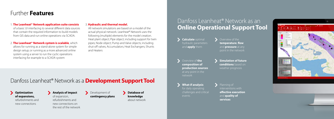### Further **Features**

#### 1. **The Leanheat® Network application suite consists**

of a basic UI interfacing to several different data sources that contain the required information to build models from GIS data and run online operations via SCADA.

2. **The Leanheat® Network system is scalable**, which allows for running as a stand-alone system for simple design setup; or running as a more advanced online system using a server to run the cyclic operations interfacing for example to a SCADA system

#### 3. **Hydraulic and thermal model.**

All network simulations are based on a model of the actual physical network. Leanheat® Network uses the following (multiple) elements for the model creation. Heat plant object; Pipe object; including support for twin pipes; Node object; Pump and Valve objects; including shut-off valves; Accumulators; Heat Exchangers; Shunts and Heaters

### Danfoss Leanheat® Network as a **Development Support Tool**

**Optimization of expansions,** refurbishments and new connections

**Analysis of impact**  of expansion, refurbishments and

new connections on the rest of the network

#### Development of **contingency plans**

**Database of knowledge** about network

### Danfoss Leanheat<sup>®</sup> Network as an **Online Operational Support Tool**



Overview of the **temperature**, **flow** and **pressure** at any point in the network

Overview of **the composition of production sources** at any point in the network

events

**Simulation of future conditions** based on weather prognosis

**What-if analysis**  for daily operating challenges and critical Planning of interventions with **effective execution** and **quality of services**